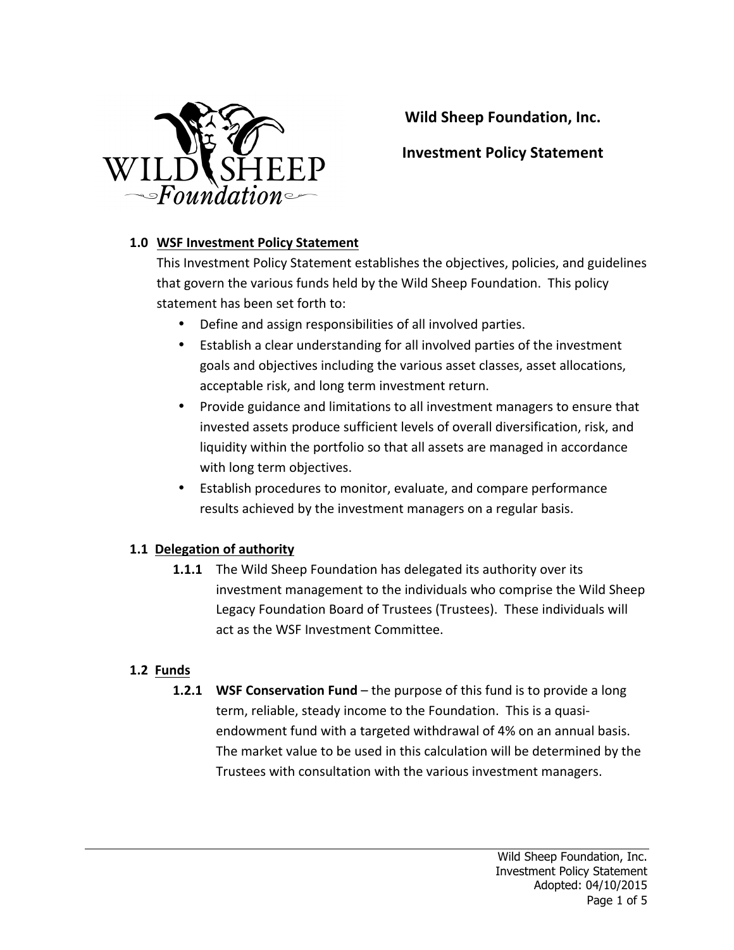

Wild Sheep Foundation, Inc.

# **Investment Policy Statement**

## **1.0 WSF Investment Policy Statement**

This Investment Policy Statement establishes the objectives, policies, and guidelines that govern the various funds held by the Wild Sheep Foundation. This policy statement has been set forth to:

- Define and assign responsibilities of all involved parties.
- Establish a clear understanding for all involved parties of the investment goals and objectives including the various asset classes, asset allocations, acceptable risk, and long term investment return.
- Provide guidance and limitations to all investment managers to ensure that invested assets produce sufficient levels of overall diversification, risk, and liquidity within the portfolio so that all assets are managed in accordance with long term objectives.
- Establish procedures to monitor, evaluate, and compare performance results achieved by the investment managers on a regular basis.

## **1.1 Delegation of authority**

**1.1.1** The Wild Sheep Foundation has delegated its authority over its investment management to the individuals who comprise the Wild Sheep Legacy Foundation Board of Trustees (Trustees). These individuals will act as the WSF Investment Committee.

## **1.2 Funds**

**1.2.1 WSF Conservation Fund** – the purpose of this fund is to provide a long term, reliable, steady income to the Foundation. This is a quasiendowment fund with a targeted withdrawal of 4% on an annual basis. The market value to be used in this calculation will be determined by the Trustees with consultation with the various investment managers.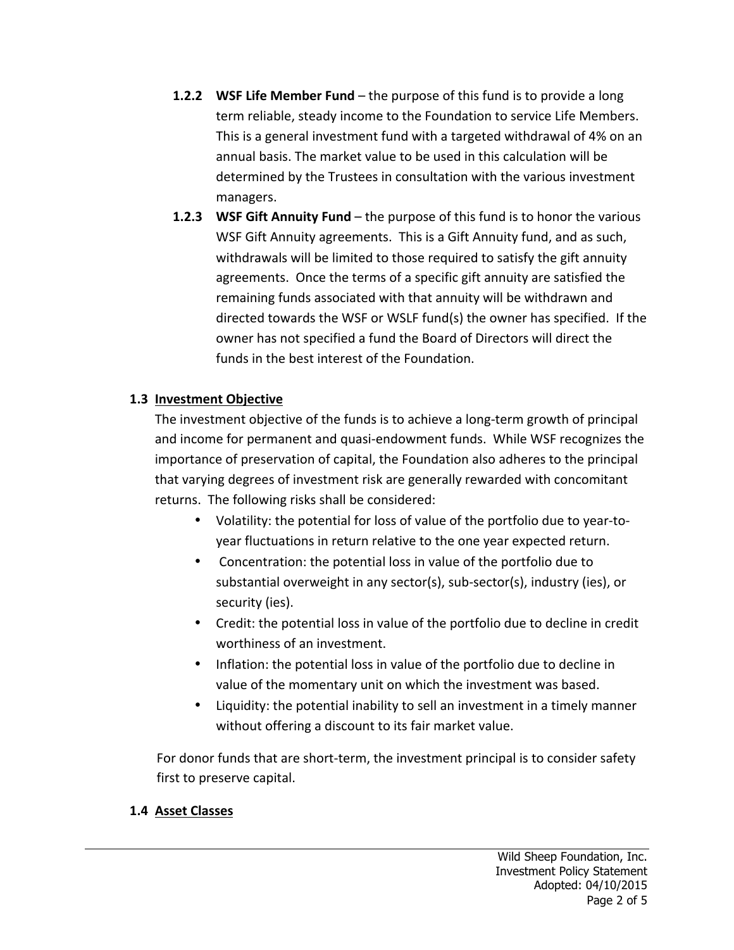- **1.2.2 WSF Life Member Fund** the purpose of this fund is to provide a long term reliable, steady income to the Foundation to service Life Members. This is a general investment fund with a targeted withdrawal of 4% on an annual basis. The market value to be used in this calculation will be determined by the Trustees in consultation with the various investment managers.
- **1.2.3** WSF Gift Annuity Fund the purpose of this fund is to honor the various WSF Gift Annuity agreements. This is a Gift Annuity fund, and as such, withdrawals will be limited to those required to satisfy the gift annuity agreements. Once the terms of a specific gift annuity are satisfied the remaining funds associated with that annuity will be withdrawn and directed towards the WSF or WSLF fund(s) the owner has specified. If the owner has not specified a fund the Board of Directors will direct the funds in the best interest of the Foundation.

## **1.3 Investment Objective**

The investment objective of the funds is to achieve a long-term growth of principal and income for permanent and quasi-endowment funds. While WSF recognizes the importance of preservation of capital, the Foundation also adheres to the principal that varying degrees of investment risk are generally rewarded with concomitant returns. The following risks shall be considered:

- Volatility: the potential for loss of value of the portfolio due to year-toyear fluctuations in return relative to the one year expected return.
- Concentration: the potential loss in value of the portfolio due to substantial overweight in any sector(s), sub-sector(s), industry (ies), or security (ies).
- Credit: the potential loss in value of the portfolio due to decline in credit worthiness of an investment.
- Inflation: the potential loss in value of the portfolio due to decline in value of the momentary unit on which the investment was based.
- Liquidity: the potential inability to sell an investment in a timely manner without offering a discount to its fair market value.

For donor funds that are short-term, the investment principal is to consider safety first to preserve capital.

#### **1.4 Asset Classes**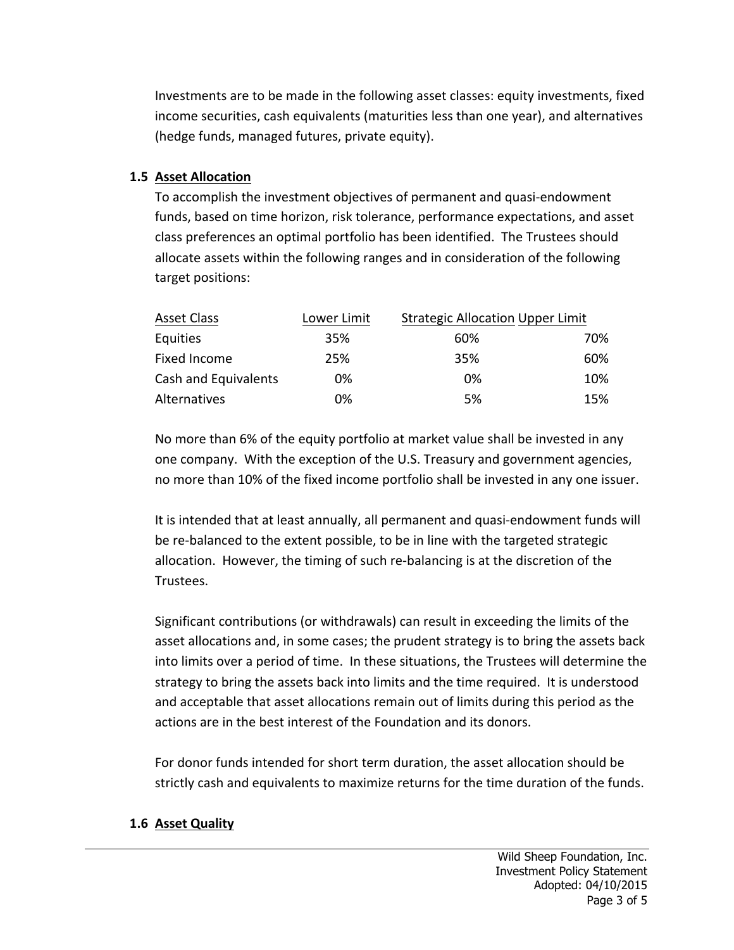Investments are to be made in the following asset classes: equity investments, fixed income securities, cash equivalents (maturities less than one year), and alternatives (hedge funds, managed futures, private equity).

## **1.5 Asset Allocation**

To accomplish the investment objectives of permanent and quasi-endowment funds, based on time horizon, risk tolerance, performance expectations, and asset class preferences an optimal portfolio has been identified. The Trustees should allocate assets within the following ranges and in consideration of the following target positions:

| <b>Asset Class</b>   | Lower Limit | <b>Strategic Allocation Upper Limit</b> |     |
|----------------------|-------------|-----------------------------------------|-----|
| Equities             | 35%         | 60%                                     | 70% |
| Fixed Income         | 25%         | 35%                                     | 60% |
| Cash and Equivalents | 0%          | 0%                                      | 10% |
| Alternatives         | 0%          | 5%                                      | 15% |

No more than 6% of the equity portfolio at market value shall be invested in any one company. With the exception of the U.S. Treasury and government agencies, no more than 10% of the fixed income portfolio shall be invested in any one issuer.

It is intended that at least annually, all permanent and quasi-endowment funds will be re-balanced to the extent possible, to be in line with the targeted strategic allocation. However, the timing of such re-balancing is at the discretion of the Trustees.

Significant contributions (or withdrawals) can result in exceeding the limits of the asset allocations and, in some cases; the prudent strategy is to bring the assets back into limits over a period of time. In these situations, the Trustees will determine the strategy to bring the assets back into limits and the time required. It is understood and acceptable that asset allocations remain out of limits during this period as the actions are in the best interest of the Foundation and its donors.

For donor funds intended for short term duration, the asset allocation should be strictly cash and equivalents to maximize returns for the time duration of the funds.

#### **1.6 Asset Quality**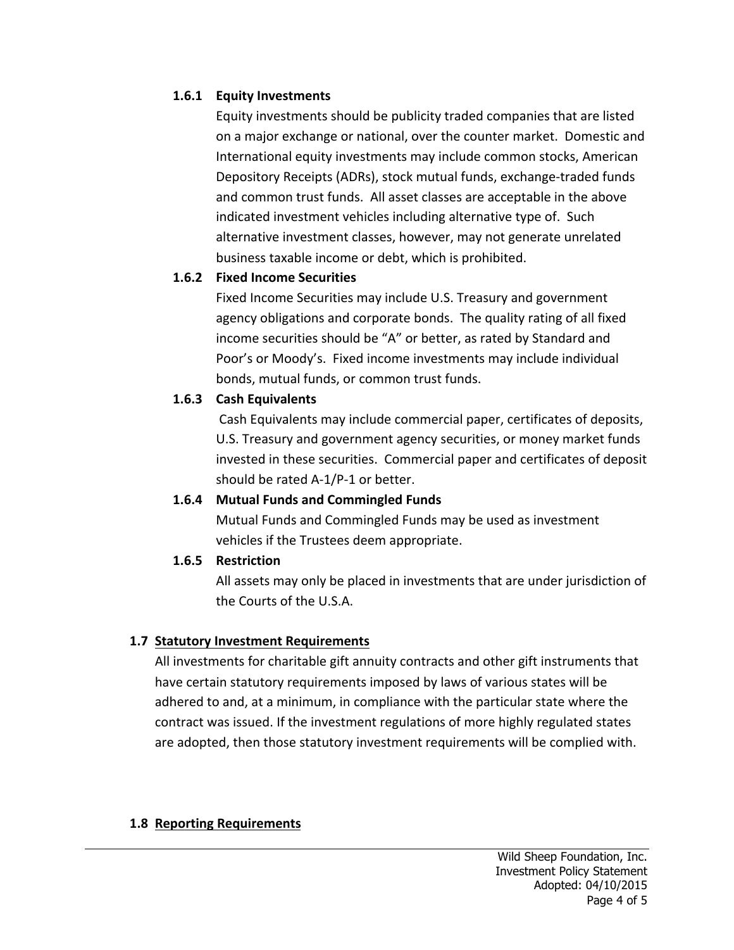## **1.6.1 Equity Investments**

Equity investments should be publicity traded companies that are listed on a major exchange or national, over the counter market. Domestic and International equity investments may include common stocks, American Depository Receipts (ADRs), stock mutual funds, exchange-traded funds and common trust funds. All asset classes are acceptable in the above indicated investment vehicles including alternative type of. Such alternative investment classes, however, may not generate unrelated business taxable income or debt, which is prohibited.

#### **1.6.2 Fixed Income Securities**

Fixed Income Securities may include U.S. Treasury and government agency obligations and corporate bonds. The quality rating of all fixed income securities should be "A" or better, as rated by Standard and Poor's or Moody's. Fixed income investments may include individual bonds, mutual funds, or common trust funds.

## **1.6.3 Cash Equivalents**

Cash Equivalents may include commercial paper, certificates of deposits, U.S. Treasury and government agency securities, or money market funds invested in these securities. Commercial paper and certificates of deposit should be rated  $A-1/P-1$  or better.

#### 1.6.4 Mutual Funds and Commingled Funds

Mutual Funds and Commingled Funds may be used as investment vehicles if the Trustees deem appropriate.

## **1.6.5 Restriction**

All assets may only be placed in investments that are under jurisdiction of the Courts of the U.S.A.

#### **1.7 Statutory Investment Requirements**

All investments for charitable gift annuity contracts and other gift instruments that have certain statutory requirements imposed by laws of various states will be adhered to and, at a minimum, in compliance with the particular state where the contract was issued. If the investment regulations of more highly regulated states are adopted, then those statutory investment requirements will be complied with.

#### **1.8 Reporting Requirements**